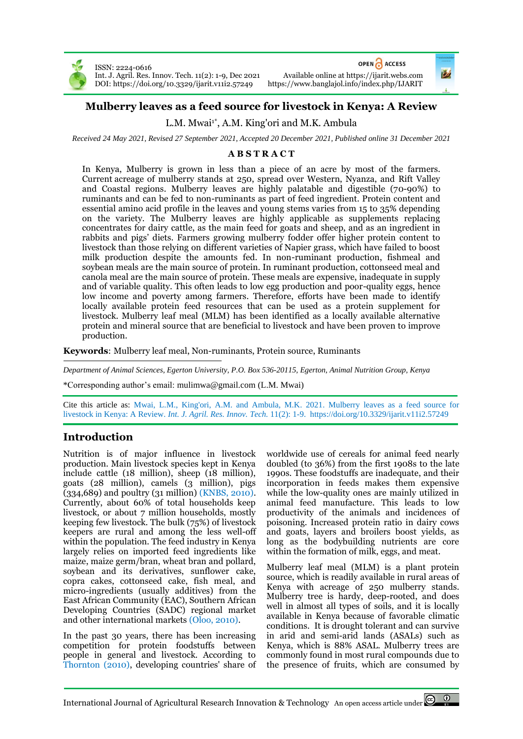

ISSN: 2224-0616 Int. J. Agril. Res. Innov. Tech. 11(2): 1-9, Dec 2021 Available online a[t https://ijarit.webs.com](http://ijarit.webs.com/) DOI: https://doi.org/10.3329/ijarit.v1112.57249

OPEN A ACCESS



# **Mulberry leaves as a feed source for livestock in Kenya: A Review**

L.M. Mwai<sup>1\*</sup>, A.M. King'ori and M.K. Ambula

*Received 24 May 2021, Revised 27 September 2021, Accepted 20 December 2021, Published online 31 December 2021*

### **A B S T R A C T**

In Kenya, Mulberry is grown in less than a piece of an acre by most of the farmers. Current acreage of mulberry stands at 250, spread over Western, Nyanza, and Rift Valley and Coastal regions. Mulberry leaves are highly palatable and digestible (70-90%) to ruminants and can be fed to non-ruminants as part of feed ingredient. Protein content and essential amino acid profile in the leaves and young stems varies from 15 to 35% depending on the variety. The Mulberry leaves are highly applicable as supplements replacing concentrates for dairy cattle, as the main feed for goats and sheep, and as an ingredient in rabbits and pigs' diets. Farmers growing mulberry fodder offer higher protein content to livestock than those relying on different varieties of Napier grass, which have failed to boost milk production despite the amounts fed. In non-ruminant production, fishmeal and soybean meals are the main source of protein. In ruminant production, cottonseed meal and canola meal are the main source of protein. These meals are expensive, inadequate in supply and of variable quality. This often leads to low egg production and poor-quality eggs, hence low income and poverty among farmers. Therefore, efforts have been made to identify locally available protein feed resources that can be used as a protein supplement for livestock. Mulberry leaf meal (MLM) has been identified as a locally available alternative protein and mineral source that are beneficial to livestock and have been proven to improve production.

**Keywords**: Mulberry leaf meal, Non-ruminants, Protein source, Ruminants

*Department of Animal Sciences, Egerton University, P.O. Box 536-20115, Egerton, Animal Nutrition Group, Kenya* 

\*Corresponding author's email[: mulimwa@gmail.com](mailto:mulimwa@gmail.com) (L.M. Mwai)

Cite this article as: Mwai, L.M., King'ori, A.M. and Ambula, M.K. 2021. Mulberry leaves as a feed source for livestock in Kenya: A Review. *Int. J. Agril. Res. Innov. Tech.* 11(2): 1-9. <https://doi.org/10.3329/ijarit.v11i2.57249>

# **Introduction**

Nutrition is of major influence in livestock production. Main livestock species kept in Kenya include cattle (18 million), sheep (18 million), goats (28 million), camels (3 million), pigs (334,689) and poultry (31 million) (KNBS, 2010). Currently, about 60% of total households keep livestock, or about 7 million households, mostly keeping few livestock. The bulk (75%) of livestock keepers are rural and among the less well-off within the population. The feed industry in Kenya largely relies on imported feed ingredients like maize, maize germ/bran, wheat bran and pollard, soybean and its derivatives, sunflower cake, copra cakes, cottonseed cake, fish meal, and micro-ingredients (usually additives) from the East African Community (EAC), Southern African Developing Countries (SADC) regional market and other international markets (Oloo, 2010).

In the past 30 years, there has been increasing competition for protein foodstuffs between people in general and livestock. According to Thornton (2010), developing countries' share of worldwide use of cereals for animal feed nearly doubled (to 36%) from the first 1908s to the late 1990s. These foodstuffs are inadequate, and their incorporation in feeds makes them expensive while the low-quality ones are mainly utilized in animal feed manufacture. This leads to low productivity of the animals and incidences of poisoning. Increased protein ratio in dairy cows and goats, layers and broilers boost yields, as long as the bodybuilding nutrients are core within the formation of milk, eggs, and meat.

Mulberry leaf meal (MLM) is a plant protein source, which is readily available in rural areas of Kenya with acreage of 250 mulberry stands. Mulberry tree is hardy, deep-rooted, and does well in almost all types of soils, and it is locally available in Kenya because of favorable climatic conditions. It is drought tolerant and can survive in arid and semi-arid lands (ASALs) such as Kenya, which is 88% ASAL. Mulberry trees are commonly found in most rural compounds due to the presence of fruits, which are consumed by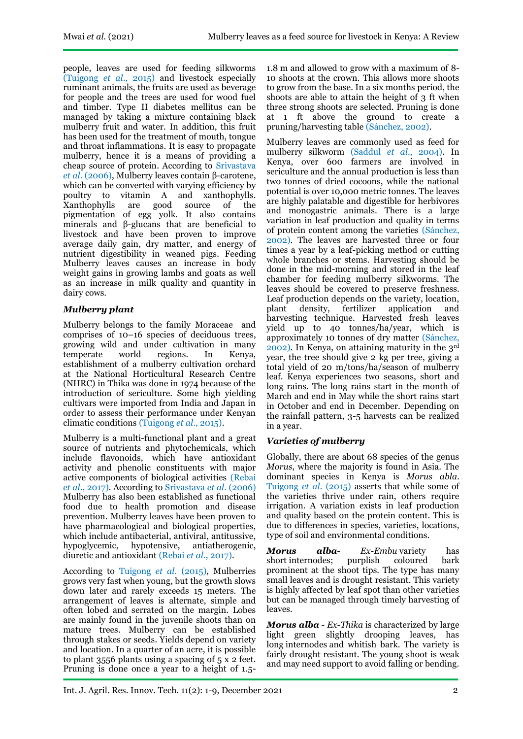people, leaves are used for feeding silkworms (Tuigong *et al*., 2015) and livestock especially ruminant animals, the fruits are used as beverage for people and the trees are used for wood fuel and timber. Type II diabetes mellitus can be managed by taking a mixture containing black mulberry fruit and water. In addition, this fruit has been used for the treatment of mouth, tongue and throat inflammations. It is easy to propagate mulberry, hence it is a means of providing a cheap source of protein. According to Srivastava *et al*. (2006), Mulberry leaves contain β-carotene, which can be converted with varying efficiency by poultry to vitamin A and xanthophylls.<br>Xanthophylls are good source of the Xanthophylls are good source of the pigmentation of egg yolk. It also contains minerals and β-glucans that are beneficial to livestock and have been proven to improve average daily gain, dry matter, and energy of nutrient digestibility in weaned pigs. Feeding Mulberry leaves causes an increase in body weight gains in growing lambs and goats as well as an increase in milk quality and quantity in dairy cows.

# *Mulberry plant*

Mulberry belongs to the family [Moraceae](https://en.wikipedia.org/wiki/Moraceae) and comprises of 10–16 species of deciduous [trees,](https://en.wikipedia.org/wiki/Tree) growing wild and under cultivation in many temperate world regions. In Kenya, establishment of a mulberry cultivation orchard at the National Horticultural Research Centre (NHRC) in Thika was done in 1974 because of the introduction of sericulture. Some high yielding cultivars were imported from India and Japan in order to assess their performance under Kenyan climatic conditions (Tuigong *et al*., 2015).

Mulberry is a multi-functional plant and a great source of nutrients and phytochemicals, which include flavonoids, which have antioxidant activity and phenolic constituents with major active components of biological activities (Rebai *et al*., 2017). According to Srivastava *et al.* (2006) Mulberry has also been established as functional food due to health promotion and disease prevention. Mulberry leaves have been proven to have pharmacological and biological properties, which include antibacterial, antiviral, antitussive, hypoglycemic, hypotensive, antiatherogenic, diuretic and antioxidant (Rebai *et al*., 2017).

According to Tuigong *et al*. (2015), Mulberries grows very fast when young, but the growth slows down later and rarely exceeds 15 meters. The arrangement of leaves is alternate, simple and often lobed and serrated on the margin. Lobes are mainly found in the juvenile shoots than on mature trees. Mulberry can be established through stakes or seeds. Yields depend on variety and location. In a quarter of an acre, it is possible to plant 3556 plants using a spacing of 5 x 2 feet. Pruning is done once a year to a height of 1.5-

1.8 m and allowed to grow with a maximum of 8- 10 shoots at the crown. This allows more shoots to grow from the base. In a six months period, the shoots are able to attain the height of 3 ft when three strong shoots are selected. Pruning is done at 1 ft above the ground to create a pruning/harvesting table (Sánchez, 2002).

Mulberry leaves are commonly used as feed for mulberry silkworm (Saddul *et al*., 2004). In Kenya, over 600 farmers are involved in sericulture and the annual production is less than two tonnes of dried cocoons, while the national potential is over 10,000 metric tonnes. The leaves are highly palatable and digestible for herbivores and monogastric animals. There is a large variation in leaf production and quality in terms of protein content among the varieties (Sánchez, 2002). The leaves are harvested three or four times a year by a leaf-picking method or cutting whole branches or stems. Harvesting should be done in the mid-morning and stored in the leaf chamber for feeding mulberry silkworms. The leaves should be covered to preserve freshness. Leaf production depends on the variety, location, plant density, fertilizer application and harvesting technique. Harvested fresh leaves yield up to 40 tonnes/ha/year, which is approximately 10 tonnes of dry matter (Sánchez, 2002). In Kenya, on attaining maturity in the 3rd year, the tree should give 2 kg per tree, giving a total yield of 20 m/tons/ha/season of mulberry leaf. Kenya experiences two seasons, short and long rains. The long rains start in the month of March and end in May while the short rains start in October and end in December. Depending on the rainfall pattern, 3-5 harvests can be realized in a year.

# *Varieties of mulberry*

Globally, there are about 68 species of the genus *Morus*, where the majority is found in Asia. The dominant species in Kenya is *Morus abla*. Tuigong et al. (2015) asserts that while some of the varieties thrive under rain, others require irrigation. A variation exists in leaf production and quality based on the protein content. This is due to differences in species, varieties, locations, type of soil and environmental conditions.

*Morus alba- Ex-Embu* variety has<br>short internodes; purplish coloured bark short [internodes;](http://www.infonet-biovision.org/AnimalHealth/Mulberry-Trees) purplish coloured bark prominent at the shoot tips. The type has many small leaves and is drought resistant. This variety is highly affected by leaf spot than other varieties but can be managed through timely harvesting of leaves.

*Morus alba - Ex-Thika* is characterized by large light green slightly drooping leaves, has long [internodes](http://www.infonet-biovision.org/AnimalHealth/Mulberry-Trees) and whitish bark. The variety is fairly drought resistant. The young shoot is weak and may need support to avoid falling or bending.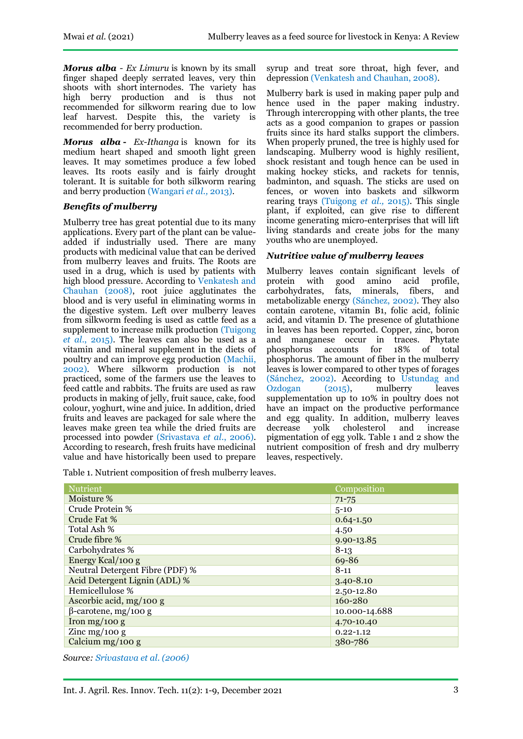*Morus alba - Ex Limuru* is known by its small finger shaped deeply serrated leaves, very thin shoots with short [internodes.](http://www.infonet-biovision.org/AnimalHealth/Mulberry-Trees) The variety has high berry production and is thus not recommended for silkworm rearing due to low leaf harvest. Despite this, the variety is recommended for berry production.

*Morus alba* **-** *Ex-Ithanga* is known for its medium heart shaped and smooth light green leaves. It may sometimes produce a few lobed leaves. Its roots easily and is fairly drought tolerant. It is suitable for both silkworm rearing and berry production (Wangari *et al.,* 2013).

### *Benefits of mulberry*

Mulberry tree has great potential due to its many applications. Every part of the plant can be valueadded if industrially used. There are many products with medicinal value that can be derived from mulberry leaves and fruits. The Roots are used in a drug, which is used by patients with high blood pressure. According to Venkatesh and Chauhan (2008), root juice agglutinates the blood and is very useful in eliminating worms in the digestive system. Left over mulberry leaves from silkworm feeding is used as cattle feed as a supplement to increase milk production (Tuigong *et al*., 2015). The leaves can also be used as a vitamin and mineral supplement in the diets of poultry and can improve egg production (Machii, 2002). Where silkworm production is not practiced, some of the farmers use the leaves to feed cattle and rabbits. The fruits are used as raw products in making of jelly, fruit sauce, cake, food colour, yoghurt, wine and juice. In addition, dried fruits and leaves are packaged for sale where the leaves make green tea while the dried fruits are processed into powder (Srivastava *et al*., 2006). According to research, fresh fruits have medicinal value and have historically been used to prepare

Table 1. Nutrient composition of fresh mulberry leaves.

syrup and treat sore throat, high fever, and depression (Venkatesh and Chauhan, 2008).

Mulberry bark is used in making paper pulp and hence used in the paper making industry. Through intercropping with other plants, the tree acts as a good companion to grapes or passion fruits since its hard stalks support the climbers. When properly pruned, the tree is highly used for landscaping. Mulberry wood is highly resilient, shock resistant and tough hence can be used in making hockey sticks, and rackets for tennis, badminton, and squash. The sticks are used on fences, or woven into baskets and silkworm rearing trays (Tuigong *et al.,* 2015). This single plant, if exploited, can give rise to different income generating micro-enterprises that will lift living standards and create jobs for the many youths who are unemployed.

### *Nutritive value of mulberry leaves*

Mulberry leaves contain significant levels of protein with good amino acid profile, carbohydrates, fats, minerals, fibers, and metabolizable energy (Sánchez, 2002). They also contain carotene, vitamin B1, folic acid, folinic acid, and vitamin D. The presence of glutathione in leaves has been reported. Copper, zinc, boron and manganese occur in traces. Phytate phosphorus accounts for 18% of total phosphorus. The amount of fiber in the mulberry leaves is lower compared to other types of forages (Sánchez, 2002). According to Ustundag and Ozdogan (2015), mulberry leaves supplementation up to 10% in poultry does not have an impact on the productive performance and egg quality. In addition, mulberry leaves<br>decrease yolk cholesterol and increase decrease yolk cholesterol and increase pigmentation of egg yolk. Table 1 and 2 show the nutrient composition of fresh and dry mulberry leaves, respectively.

| <b>Nutrient</b>                 | Composition    |
|---------------------------------|----------------|
| Moisture %                      | $71 - 75$      |
| Crude Protein %                 | $5 - 10$       |
| Crude Fat %                     | $0.64 - 1.50$  |
| Total Ash %                     | 4.50           |
| Crude fibre %                   | $9.90 - 13.85$ |
| Carbohydrates %                 | $8-13$         |
| Energy Kcal/100 g               | 69-86          |
| Neutral Detergent Fibre (PDF) % | $8 - 11$       |
| Acid Detergent Lignin (ADL) %   | $3.40 - 8.10$  |
| Hemicellulose %                 | 2.50-12.80     |
| Ascorbic acid, $mg/100 g$       | 160-280        |
| $\beta$ -carotene, mg/100 g     | 10.000-14.688  |
| Iron mg/100 g                   | 4.70-10.40     |
| Zinc mg/100 g                   | $0.22 - 1.12$  |
| Calcium $mg/100 g$              | 380-786        |

*Source: Srivastava et al. (2006)*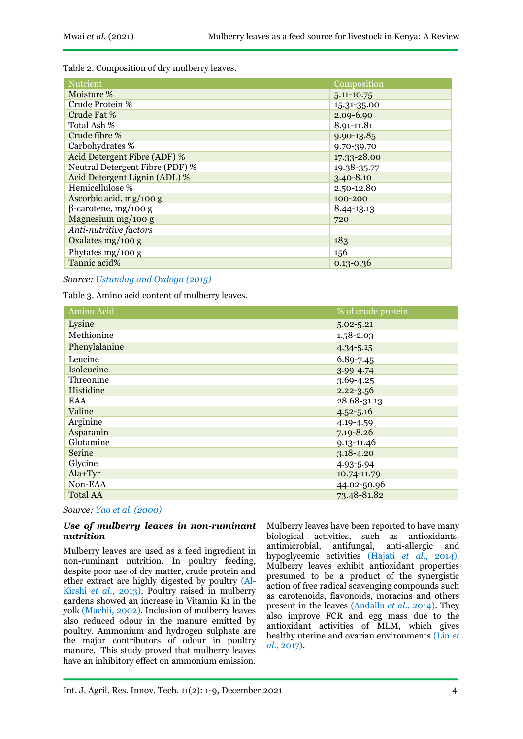Table 2. Composition of dry mulberry leaves.

| <b>Nutrient</b>                 | Composition    |
|---------------------------------|----------------|
| Moisture %                      | 5.11-10.75     |
| Crude Protein %                 | 15.31-35.00    |
| Crude Fat %                     | 2.09-6.90      |
| Total Ash %                     | 8.91-11.81     |
| Crude fibre %                   | 9.90-13.85     |
| Carbohydrates %                 | 9.70-39.70     |
| Acid Detergent Fibre (ADF) %    | 17.33-28.00    |
| Neutral Detergent Fibre (PDF) % | 19.38-35.77    |
| Acid Detergent Lignin (ADL) %   | $3.40 - 8.10$  |
| Hemicellulose %                 | 2.50-12.80     |
| Ascorbic acid, $mg/100 g$       | 100-200        |
| $\beta$ -carotene, mg/100 g     | $8.44 - 13.13$ |
| Magnesium mg/100 g              | 720            |
| Anti-nutritive factors          |                |
| Oxalates $mg/100 g$             | 183            |
| Phytates $mg/100 g$             | 156            |
| Tannic acid%                    | $0.13 - 0.36$  |

### *Source: Ustundag and Ozdoga (2015)*

Table 3. Amino acid content of mulberry leaves.

| Amino Acid      | % of crude protein |
|-----------------|--------------------|
| Lysine          | $5.02 - 5.21$      |
| Methionine      | $1.58 - 2.03$      |
| Phenylalanine   | $4.34 - 5.15$      |
| Leucine         | 6.89-7.45          |
| Isoleucine      | 3.99-4.74          |
| Threonine       | $3.69 - 4.25$      |
| Histidine       | $2.22 - 3.56$      |
| EAA             | 28.68-31.13        |
| Valine          | $4.52 - 5.16$      |
| Arginine        | 4.19-4.59          |
| Asparanin       | $7.19 - 8.26$      |
| Glutamine       | $9.13 - 11.46$     |
| <b>Serine</b>   | $3.18 - 4.20$      |
| Glycine         | 4.93-5.94          |
| $Ala+Tyr$       | 10.74-11.79        |
| Non-EAA         | 44.02-50.96        |
| <b>Total AA</b> | 73.48-81.82        |

*Source: Yao et al. (2000)*

#### *Use of mulberry leaves in non-ruminant nutrition*

Mulberry leaves are used as a feed ingredient in non-ruminant nutrition. In poultry feeding, despite poor use of dry matter, crude protein and ether extract are highly digested by poultry (Al-Kirshi *et al*., 2013). Poultry raised in mulberry gardens showed an increase in Vitamin K1 in the yolk (Machii, 2002). Inclusion of mulberry leaves also reduced odour in the manure emitted by poultry. Ammonium and hydrogen sulphate are the major contributors of odour in poultry manure. This study proved that mulberry leaves have an inhibitory effect on ammonium emission.

Mulberry leaves have been reported to have many biological activities, such as antioxidants, antimicrobial, antifungal, anti-allergic and hypoglycemic activities (Hajati *et al.*, 2014). Mulberry leaves exhibit antioxidant properties presumed to be a product of the synergistic action of free radical scavenging compounds such as [carotenoids,](https://www.sciencedirect.com/topics/medicine-and-dentistry/carotenoid) [flavonoids,](https://www.sciencedirect.com/topics/medicine-and-dentistry/flavonoid) moracins and others present in the leaves (Andallu *et al.,* 2014). They also improve FCR and egg mass due to the antioxidant activities of MLM, which gives healthy uterine and ovarian environments (Lin *et al.*, 2017).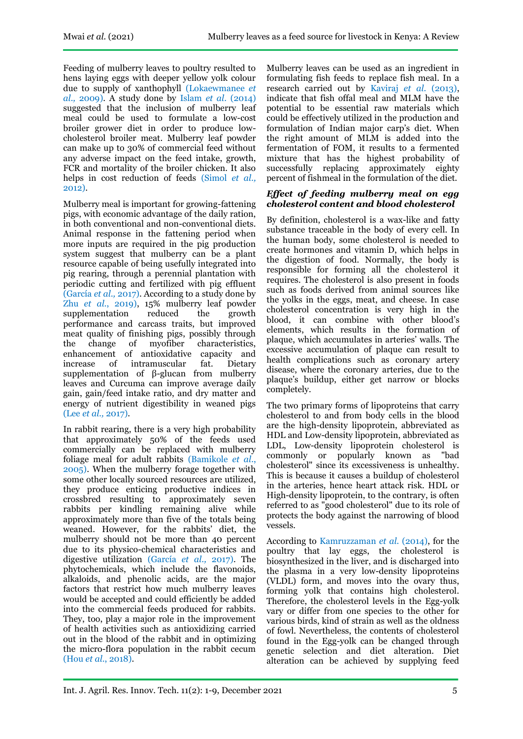Feeding of mulberry leaves to poultry resulted to hens laying eggs with deeper yellow yolk colour due to supply of xanthophyll (Lokaewmanee *et al.,* 2009). A study done by Islam *et al*. (2014) suggested that the inclusion of mulberry leaf meal could be used to formulate a low-cost broiler grower diet in order to produce lowcholesterol broiler meat. Mulberry leaf powder can make up to 30% of commercial feed without any adverse impact on the feed intake, growth, FCR and mortality of the broiler chicken. It also helps in cost reduction of feeds (Simol *et al.,* 2012).

Mulberry meal is important for growing-fattening pigs, with economic advantage of the daily ration, in both conventional and non-conventional diets. Animal response in the fattening period when more inputs are required in the pig production system suggest that mulberry can be a plant resource capable of being usefully integrated into pig rearing, through a perennial plantation with periodic cutting and fertilized with pig effluent (García *et al.,* 2017). According to a study done by Zhu *et al.*, 2019), 15% mulberry leaf powder supplementation reduced the growth performance and carcass traits, but improved meat quality of finishing pigs, possibly through the change of myofiber characteristics, enhancement of antioxidative capacity and increase of intramuscular fat. Dietary supplementation of β-glucan from mulberry leaves and Curcuma can improve average daily gain, gain/feed intake ratio, and dry matter and energy of nutrient digestibility in weaned pigs (Lee *et al.,* 2017).

In rabbit rearing, there is a very high probability that approximately 50% of the feeds used commercially can be replaced with mulberry foliage meal for adult rabbits (Bamikole *et al*., 2005). When the mulberry forage together with some other locally sourced resources are utilized, they produce enticing productive indices in crossbred resulting to approximately seven rabbits per kindling remaining alive while approximately more than five of the totals being weaned. However, for the rabbits' diet, the mulberry should not be more than 40 percent due to its physico-chemical characteristics and digestive utilization (García *et al.,* 2017). The phytochemicals, which include the flavonoids, alkaloids, and phenolic acids, are the major factors that restrict how much mulberry leaves would be accepted and could efficiently be added into the commercial feeds produced for rabbits. They, too, play a major role in the improvement of health activities such as antioxidizing carried out in the blood of the rabbit and in optimizing the micro-flora population in the rabbit cecum (Hou *et al*., 2018).

Mulberry leaves can be used as an ingredient in formulating fish feeds to replace fish meal. In a research carried out by Kaviraj *et al*. (2013), indicate that fish offal meal and MLM have the potential to be essential raw materials which could be effectively utilized in the production and formulation of Indian major carp's diet. When the right amount of MLM is added into the fermentation of FOM, it results to a fermented mixture that has the highest probability of successfully replacing approximately eighty percent of fishmeal in the formulation of the diet.

### *Effect of feeding mulberry meal on egg cholesterol content and blood cholesterol*

By definition, cholesterol is a wax-like and fatty substance traceable in the body of every cell. In the human body, some cholesterol is needed to create hormones and vitamin D, which helps in the digestion of food. Normally, the body is responsible for forming all the cholesterol it requires. The cholesterol is also present in foods such as foods derived from animal sources like the yolks in the eggs, meat, and cheese. In case cholesterol concentration is very high in the blood, it can combine with other blood's elements, which results in the formation of plaque, which accumulates in arteries' walls. The excessive accumulation of plaque can result to health complications such as [coronary artery](https://medlineplus.gov/coronaryarterydisease.html) [disease,](https://medlineplus.gov/coronaryarterydisease.html) where the coronary arteries, due to the plaque's buildup, either get narrow or blocks completely.

The two primary forms of lipoproteins that carry cholesterol to and from body cells in the blood are the high-density lipoprotein, abbreviated as HDL and Low-density lipoprotein, abbreviated as LDL, Low-density lipoprotein cholesterol is commonly or popularly known as "bad cholesterol" since its excessiveness is unhealthy. This is because it causes a buildup of cholesterol in the arteries, hence heart attack risk. HDL or High-density lipoprotein, to the contrary, is often referred to as "good cholesterol" due to its role of protects the body against the narrowing of blood vessels.

According to Kamruzzaman *et al.* (2014), for the poultry that lay eggs, the cholesterol is biosynthesized in the liver, and is discharged into the plasma in a very low-density lipoproteins (VLDL) form, and moves into the ovary thus, forming yolk that contains high cholesterol. Therefore, the cholesterol levels in the Egg-yolk vary or differ from one species to the other for various birds, kind of strain as well as the oldness of fowl. Nevertheless, the contents of cholesterol found in the Egg-yolk can be changed through genetic selection and diet alteration. Diet alteration can be achieved by supplying feed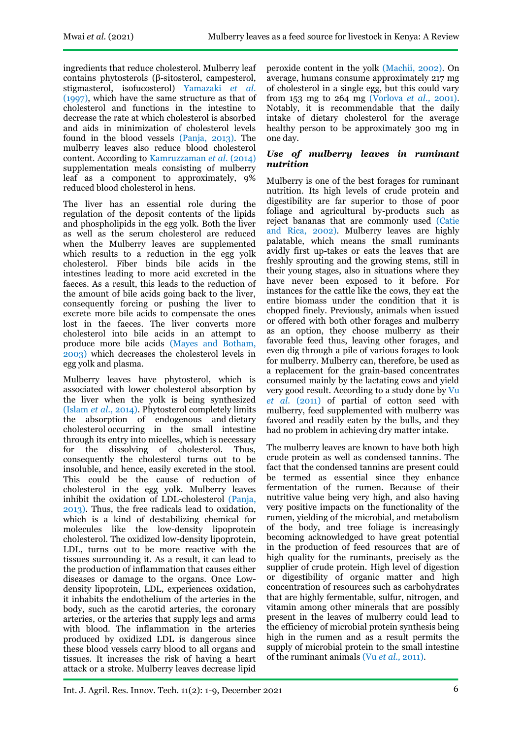ingredients that reduce cholesterol. Mulberry leaf contains phytosterols (β-sitosterol, campesterol, stigmasterol, isofucosterol) Yamazaki *et al.* (1997), which have the same structure as that of cholesterol and functions in the intestine to decrease the rate at which cholesterol is absorbed and aids in minimization of cholesterol levels found in the blood vessels (Panja, 2013). The mulberry leaves also reduce blood cholesterol content. According to Kamruzzaman *et al.* (2014) supplementation meals consisting of mulberry leaf as a component to approximately, 9% reduced blood cholesterol in hens.

The liver has an essential role during the regulation of the deposit contents of the lipids and phospholipids in the egg yolk. Both the liver as well as the serum cholesterol are reduced when the Mulberry leaves are supplemented which results to a reduction in the egg yolk cholesterol. Fiber binds bile acids in the intestines leading to more acid excreted in the faeces. As a result, this leads to the reduction of the amount of bile acids going back to the liver, consequently forcing or pushing the liver to excrete more bile acids to compensate the ones lost in the faeces. The liver converts more cholesterol into bile acids in an attempt to produce more bile acids (Mayes and Botham, 2003) which decreases the cholesterol levels in egg yolk and plasma.

Mulberry leaves have phytosterol, which is associated with lower cholesterol absorption by the liver when the yolk is being synthesized (Islam *et al*., 2014). Phytosterol completely limits the absorption of endogenous and [dietary](https://www.sciencedirect.com/topics/medicine-and-dentistry/cholesterol-intake)  [cholesterol](https://www.sciencedirect.com/topics/medicine-and-dentistry/cholesterol-intake) occurring in the small intestine through its entry into [micelles,](https://www.sciencedirect.com/topics/medicine-and-dentistry/micelle) which is necessary for the dissolving of cholesterol. Thus, consequently the cholesterol turns out to be insoluble, and hence, easily excreted in the stool. This could be the cause of reduction of cholesterol in the egg yolk. Mulberry leaves inhibit the oxidation of LDL-cholesterol (Panja, 2013). Thus, the free radicals lead to oxidation, which is a kind of destabilizing chemical for molecules like the low-density lipoprotein cholesterol. The oxidized low-density lipoprotein, LDL, turns out to be more reactive with the tissues surrounding it. As a result, it can lead to the production of inflammation that causes either diseases or damage to the organs. Once Lowdensity lipoprotein, LDL, experiences oxidation, it inhabits the endothelium of the arteries in the body, such as the carotid arteries, the coronary arteries, or the arteries that supply legs and arms with blood. The inflammation in the arteries produced by oxidized LDL is dangerous since these blood vessels carry blood to all organs and tissues. It increases the risk of having a heart attack or a stroke. Mulberry leaves decrease lipid

peroxide content in the yolk (Machii, 2002). On average, humans consume approximately 217 mg of cholesterol in a single egg, but this could vary from 153 mg to 264 mg (Vorlova *et al.,* 2001). Notably, it is recommendable that the daily intake of dietary cholesterol for the average healthy person to be approximately 300 mg in one day.

### *Use of mulberry leaves in ruminant nutrition*

Mulberry is one of the best forages for ruminant nutrition. Its high levels of crude protein and digestibility are far superior to those of poor foliage and agricultural by-products such as reject bananas that are commonly used (Catie and Rica, 2002). Mulberry leaves are highly palatable, which means the small ruminants avidly first up-takes or eats the leaves that are freshly sprouting and the growing stems, still in their young stages, also in situations where they have never been exposed to it before. For instances for the cattle like the cows, they eat the entire biomass under the condition that it is chopped finely. Previously, animals when issued or offered with both other forages and mulberry as an option, they choose mulberry as their favorable feed thus, leaving other forages, and even dig through a pile of various forages to look for mulberry. Mulberry can, therefore, be used as a replacement for the grain-based concentrates consumed mainly by the lactating cows and yield very good result. According to a study done by Vu *et al.* (2011) of partial of cotton seed with mulberry, feed supplemented with mulberry was favored and readily eaten by the bulls, and they had no problem in achieving dry matter intake.

The mulberry leaves are known to have both high crude protein as well as condensed tannins. The fact that the condensed tannins are present could be termed as essential since they enhance fermentation of the rumen. Because of their nutritive value being very high, and also having very positive impacts on the functionality of the rumen, yielding of the microbial, and metabolism of the body, and tree foliage is increasingly becoming acknowledged to have great potential in the production of feed resources that are of high quality for the ruminants, precisely as the supplier of crude protein. High level of digestion or digestibility of organic matter and high concentration of resources such as carbohydrates that are highly fermentable, sulfur, nitrogen, and vitamin among other minerals that are possibly present in the leaves of mulberry could lead to the efficiency of microbial protein synthesis being high in the rumen and as a result permits the supply of microbial protein to the small intestine of the ruminant animals (Vu *et al.,* 2011).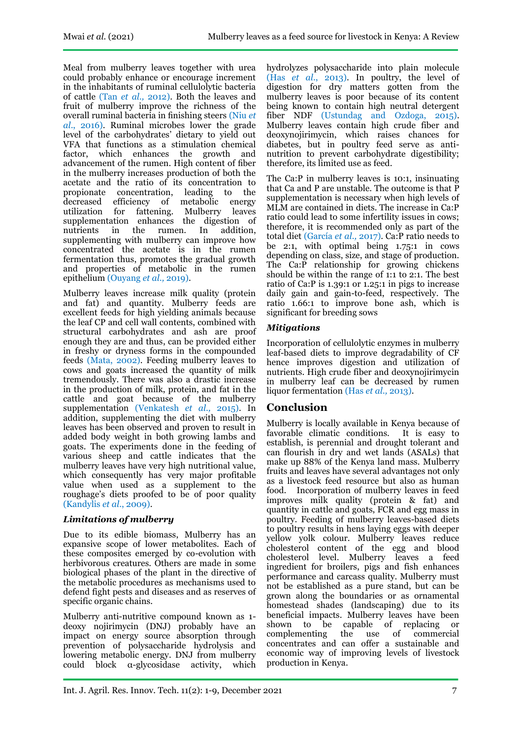Meal from mulberry leaves together with urea could probably enhance or encourage increment in the inhabitants of ruminal cellulolytic bacteria of cattle (Tan *et al.,* 2012). Both the leaves and fruit of mulberry improve the richness of the overall ruminal bacteria in finishing steers (Niu *et al*., 2016). Ruminal microbes lower the grade level of the carbohydrates' dietary to yield out VFA that functions as a stimulation chemical factor, which enhances the growth and advancement of the rumen. High content of fiber in the mulberry increases production of both the acetate and the ratio of its concentration to propionate concentration, leading to the propionate concentration, leading to the decreased efficiency of metabolic energy utilization for fattening. Mulberry leaves supplementation enhances the digestion of nutrients in the rumen. In addition, supplementing with mulberry can improve how concentrated the acetate is in the rumen fermentation thus, promotes the gradual growth and properties of metabolic in the rumen epithelium (Ouyang *et al.,* 2019).

Mulberry leaves increase milk quality (protein and fat) and quantity. Mulberry feeds are excellent feeds for high yielding animals because the leaf CP and cell wall contents, combined with structural carbohydrates and ash are proof enough they are and thus, can be provided either in freshy or dryness forms in the compounded feeds (Mata, 2002). Feeding mulberry leaves to cows and goats increased the quantity of milk tremendously. There was also a drastic increase in the production of milk, protein, and fat in the cattle and goat because of the mulberry supplementation (Venkatesh *et al.,* 2015). In addition, supplementing the diet with mulberry leaves has been observed and proven to result in added body weight in both growing lambs and goats. The experiments done in the feeding of various sheep and cattle indicates that the mulberry leaves have very high nutritional value, which consequently has very major profitable value when used as a supplement to the roughage's diets proofed to be of poor quality (Kandylis *et al*., 2009).

# *Limitations of mulberry*

Due to its edible biomass, Mulberry has an expansive scope of lower metabolites. Each of these composites emerged by co-evolution with herbivorous creatures. Others are made in some biological phases of the plant in the directive of the metabolic procedures as mechanisms used to defend fight pests and diseases and as reserves of specific organic chains.

Mulberry anti-nutritive compound known as 1 deoxy nojirimycin (DNJ) probably have an impact on energy source absorption through prevention of polysaccharide hydrolysis and lowering metabolic energy. DNJ from mulberry could block α-glycosidase activity, which

hydrolyzes polysaccharide into plain molecule (Has *et al*., 2013). In poultry, the level of digestion for dry matters gotten from the mulberry leaves is poor because of its content being known to contain high neutral detergent fiber NDF (Ustundag and Ozdoga, 2015). Mulberry leaves contain high crude fiber and deoxynojirimycin, which raises chances for diabetes, but in poultry feed serve as antinutrition to prevent carbohydrate digestibility; therefore, its limited use as feed.

The Ca:P in mulberry leaves is 10:1, insinuating that Ca and P are unstable. The outcome is that  $\overline{P}$ supplementation is necessary when high levels of MLM are contained in diets. The increase in Ca:P ratio could lead to some infertility issues in cows; therefore, it is recommended only as part of the total diet (García *et al.,* 2017). Ca:P ratio needs to be 2:1, with optimal being  $1.75:1$  in cows depending on class, size, and stage of production. The Ca:P relationship for growing chickens should be within the range of 1:1 to 2:1. The best ratio of Ca:P is  $1.39:1$  or  $1.25:1$  in pigs to increase daily gain and gain-to-feed, respectively. The ratio 1.66:1 to improve bone ash, which is significant for breeding sows

# *Mitigations*

Incorporation of cellulolytic enzymes in mulberry leaf-based diets to improve degradability of CF hence improves digestion and utilization of nutrients. High crude fiber and deoxynojirimycin in mulberry leaf can be decreased by rumen liquor fermentation (Has *et al.,* 2013).

# **Conclusion**

Mulberry is locally available in Kenya because of favorable climatic conditions. It is easy to establish, is perennial and drought tolerant and can flourish in dry and wet lands (ASALs) that make up 88% of the Kenya land mass. Mulberry fruits and leaves have several advantages not only as a livestock feed resource but also as human food. Incorporation of mulberry leaves in feed improves milk quality (protein & fat) and quantity in cattle and goats, FCR and egg mass in poultry. Feeding of mulberry leaves-based diets to poultry results in hens laying eggs with deeper yellow yolk colour. Mulberry leaves reduce cholesterol content of the egg and blood cholesterol level. Mulberry leaves a feed ingredient for broilers, pigs and fish enhances performance and carcass quality. Mulberry must not be established as a pure stand, but can be grown along the boundaries or as ornamental homestead shades (landscaping) due to its beneficial impacts. Mulberry leaves have been shown to be capable of replacing or complementing the use concentrates and can offer a sustainable and economic way of improving levels of livestock production in Kenya.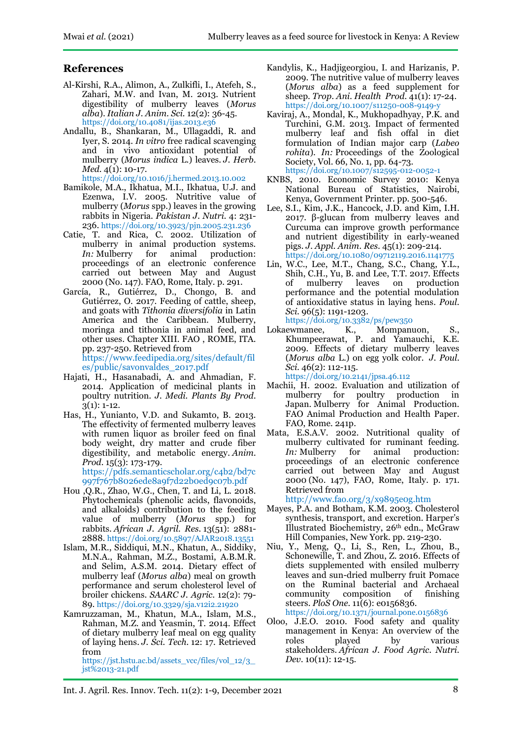# **References**

- Al-Kirshi, R.A., Alimon, A., Zulkifli, I., Atefeh, S., Zahari, M.W. and Ivan, M. 2013. Nutrient digestibility of mulberry leaves (*Morus alba*). *Italian J. Anim. Sci.* 12(2): 36-45. <https://doi.org/10.4081/ijas.2013.e36>
- Andallu, B., Shankaran, M., Ullagaddi, R. and Iyer, S. 2014. *In vitro* free radical scavenging and in vivo antioxidant potential of mulberry (*Morus indica* L.) leaves. *J. Herb. Med.* 4(1): 10-17.

<https://doi.org/10.1016/j.hermed.2013.10.002>

- Bamikole, M.A., Ikhatua, M.I., Ikhatua, U.J. and Ezenwa, I.V. 2005. Nutritive value of mulberry (*Morus* spp.) leaves in the growing rabbits in Nigeria. *Pakistan J. Nutri.* 4: 231- 236. <https://doi.org/10.3923/pjn.2005.231.236>
- Catie, T. and Rica, C. 2002. Utilization of mulberry in animal production systems.<br> $In:$  Mulberry for animal production: *In:* Mulberry for animal production: proceedings of an electronic conference carried out between May and August 2000 (No. 147). FAO, Rome, Italy. p. 291.
- García, R., Gutiérrez, D., Chongo, B. and Gutiérrez, O. 2017. Feeding of cattle, sheep, and goats with *Tithonia diversifolia* in Latin America and the Caribbean. Mulberry, moringa and tithonia in animal feed, and other uses. Chapter XIII. FAO , ROME, ITA. pp. 237-250. Retrieved from [https://www.feedipedia.org/sites/default/fil](https://www.feedipedia.org/sites/default/files/public/savonvaldes_2017.pdf)

[es/public/savonvaldes\\_2017.pdf](https://www.feedipedia.org/sites/default/files/public/savonvaldes_2017.pdf)

- Hajati, H., Hasanabadi, A. and Ahmadian, F. 2014. Application of medicinal plants in poultry nutrition. *J. Medi. Plants By Prod.*  $3(1): 1-12.$
- Has, H., Yunianto, V.D. and Sukamto, B. 2013. The effectivity of fermented mulberry leaves with rumen liquor as broiler feed on final body weight, dry matter and crude fiber digestibility, and metabolic energy. *Anim. Prod.* 15(3): 173-179. [https://pdfs.semanticscholar.org/c4b2/bd7c](https://pdfs.semanticscholar.org/c4b2/bd7c997f767b8026ede8a9f7d22b0ed9c07b.pdf)

[997f767b8026ede8a9f7d22b0ed9c07b.pdf](https://pdfs.semanticscholar.org/c4b2/bd7c997f767b8026ede8a9f7d22b0ed9c07b.pdf)

- Hou ,Q.R., Zhao, W.G., Chen, T. and Li, L. 2018. Phytochemicals (phenolic acids, flavonoids, and alkaloids) contribution to the feeding value of mulberry (*Morus* spp.) for rabbits. *African J. Agril. Res.* 13(51): 2881- 2888. <https://doi.org/10.5897/AJAR2018.13551>
- Islam, M.R., Siddiqui, M.N., Khatun, A., Siddiky, M.N.A., Rahman, M.Z., Bostami, A.B.M.R. and Selim, A.S.M. 2014. Dietary effect of mulberry leaf (*Morus alba*) meal on growth performance and serum cholesterol level of broiler chickens. *SAARC J. Agric.* 12(2): 79- 89. <https://doi.org/10.3329/sja.v12i2.21920>
- Kamruzzaman, M., Khatun, M.A., Islam, M.S., Rahman, M.Z. and Yeasmin, T. 2014. Effect of dietary mulberry leaf meal on egg quality of laying hens. *J. Sci. Tech.* 12: 17. Retrieved from [https://jst.hstu.ac.bd/assets\\_vcc/files/vol\\_12/3\\_](https://jst.hstu.ac.bd/assets_vcc/files/vol_12/3_jst%2013-21.pdf) [jst%2013-21.pdf](https://jst.hstu.ac.bd/assets_vcc/files/vol_12/3_jst%2013-21.pdf)
- Kandylis, K., Hadjigeorgiou, I. and Harizanis, P. 2009. The nutritive value of mulberry leaves (*Morus alba*) as a feed supplement for sheep. *Trop. Ani. Health Prod.* 41(1): 17-24. <https://doi.org/10.1007/s11250-008-9149-y>
- Kaviraj, A., Mondal, K., Mukhopadhyay, P.K. and Turchini, G.M. 2013. Impact of fermented mulberry leaf and fish offal in diet formulation of Indian major carp (*Labeo rohita*). *In:* Proceedings of the Zoological Society, Vol. 66, No. 1, pp. 64-73. <https://doi.org/10.1007/s12595-012-0052-1>
- KNBS, 2010. Economic Survey 2010: Kenya National Bureau of Statistics, Nairobi, Kenya, Government Printer. pp. 500-546.
- Lee, S.I., Kim, J.K., Hancock, J.D. and Kim, I.H. 2017. β-glucan from mulberry leaves and Curcuma can improve growth performance and nutrient digestibility in early-weaned pigs. *J. Appl. Anim. Res.* 45(1): 209-214. https://doi.org/10.1080/09712119.2016.11417
- Lin, W.C., Lee, M.T., Chang, S.C., Chang, Y.L., Shih, C.H., Yu, B. and Lee, T.T. 2017. Effects<br>of mulberry leaves on production of mulberry leaves on production performance and the potential modulation of antioxidative status in laying hens. *Poul. Sci.* 96(5): 1191-1203. <https://doi.org/10.3382/ps/pew350>
- Lokaewmanee, K., Mompanuon, S., Khumpeerawat, P. and Yamauchi, K.E. 2009. Effects of dietary mulberry leaves (*Morus alba* L.) on egg yolk color. *J. Poul. Sci.* 46(2): 112-115. <https://doi.org/10.2141/jpsa.46.112>
- Machii, H. 2002. Evaluation and utilization of mulberry for poultry production in Japan. Mulberry for Animal Production. FAO Animal Production and Health Paper. FAO, Rome. 241p.
- Mata, E.S.A.V. 2002. Nutritional quality of mulberry cultivated for ruminant feeding. *In:* Mulberry for animal production: proceedings of an electronic conference carried out between May and August 2000 (No. 147), FAO, Rome, Italy. p. 171. Retrieved from

<http://www.fao.org/3/x9895e0g.htm>

- Mayes, P.A. and Botham, K.M. 2003. Cholesterol synthesis, transport, and excretion. Harper's Illustrated Biochemistry, 26th edn., McGraw Hill Companies, New York. pp. 219-230.
- Niu, Y., Meng, Q., Li, S., Ren, L., Zhou, B., Schonewille, T. and Zhou, Z. 2016. Effects of diets supplemented with ensiled mulberry leaves and sun-dried mulberry fruit Pomace on the Ruminal bacterial and Archaeal<br>community composition of finishing composition of finishing steers. *PloS One*. 11(6): e0156836. <https://doi.org/10.1371/journal.pone.0156836>
- Oloo, J.E.O. 2010. Food safety and quality management in Kenya: An overview of the roles played by various stakeholders. *African J. Food Agric. Nutri. Dev.* 10(11): 12-15.